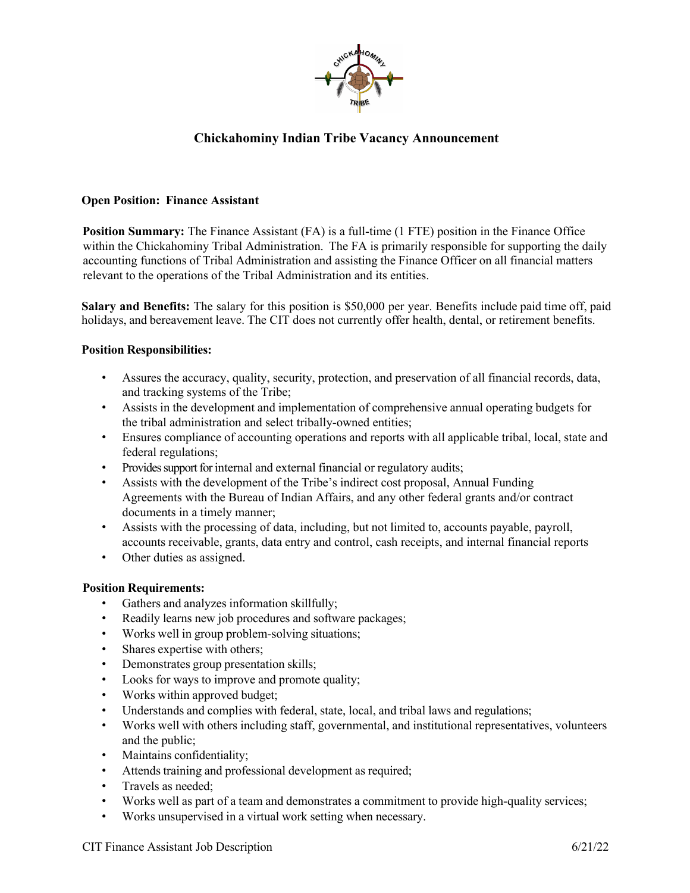

# **Chickahominy Indian Tribe Vacancy Announcement**

## **Open Position: Finance Assistant**

**Position Summary:** The Finance Assistant (FA) is a full-time (1 FTE) position in the Finance Office within the Chickahominy Tribal Administration. The FA is primarily responsible for supporting the daily accounting functions of Tribal Administration and assisting the Finance Officer on all financial matters relevant to the operations of the Tribal Administration and its entities.

**Salary and Benefits:** The salary for this position is \$50,000 per year. Benefits include paid time off, paid holidays, and bereavement leave. The CIT does not currently offer health, dental, or retirement benefits.

## **Position Responsibilities:**

- Assures the accuracy, quality, security, protection, and preservation of all financial records, data, and tracking systems of the Tribe;
- Assists in the development and implementation of comprehensive annual operating budgets for the tribal administration and select tribally-owned entities;
- Ensures compliance of accounting operations and reports with all applicable tribal, local, state and federal regulations;
- Provides support for internal and external financial or regulatory audits;
- Assists with the development of the Tribe's indirect cost proposal, Annual Funding Agreements with the Bureau of Indian Affairs, and any other federal grants and/or contract documents in a timely manner;
- Assists with the processing of data, including, but not limited to, accounts payable, payroll, accounts receivable, grants, data entry and control, cash receipts, and internal financial reports
- Other duties as assigned.

#### **Position Requirements:**

- Gathers and analyzes information skillfully;
- Readily learns new job procedures and software packages;
- Works well in group problem-solving situations;
- Shares expertise with others;
- Demonstrates group presentation skills;
- Looks for ways to improve and promote quality;
- Works within approved budget;
- Understands and complies with federal, state, local, and tribal laws and regulations;
- Works well with others including staff, governmental, and institutional representatives, volunteers and the public;
- Maintains confidentiality;
- Attends training and professional development as required;
- Travels as needed;
- Works well as part of a team and demonstrates a commitment to provide high-quality services;
- Works unsupervised in a virtual work setting when necessary.